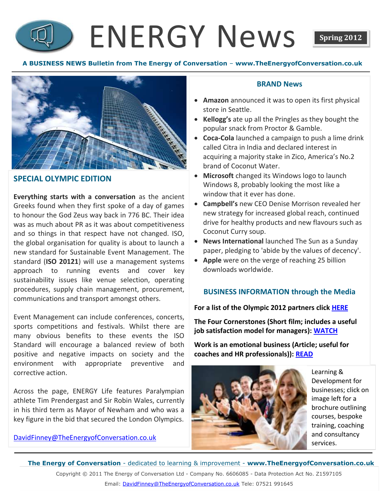## ENERGY News **Spring 2012**



#### **SPECIAL OLYMPIC EDITION**

**Everything starts with a conversation** as the ancient Greeks found when they first spoke of a day of games to honour the God Zeus way back in 776 BC. Their idea was as much about PR as it was about competitiveness and so things in that respect have not changed. ISO, the global organisation for quality is about to launch a new standard for Sustainable Event Management. The standard (**ISO 20121**) will use a management systems approach to running events and cover key sustainability issues like venue selection, operating procedures, supply chain management, procurement, communications and transport amongst others.

Event Management can include conferences, concerts, sports competitions and festivals. Whilst there are many obvious benefits to these events the ISO Standard will encourage a balanced review of both positive and negative impacts on society and the environment with appropriate preventive and corrective action.

Across the page, ENERGY Life features Paralympian athlete Tim Prendergast and Sir Robin Wales, currently in his third term as Mayor of Newham and who was a key figure in the bid that secured the London Olympics.

[DavidFinney@TheEnergyofConversation.co.uk](mailto:DavidFinney@TheEnergyofConversation.co.uk)

#### **BRAND News**

- **Amazon** announced it was to open its first physical store in Seattle.
- **Kellogg's** ate up all the Pringles as they bought the popular snack from Proctor & Gamble.
- **Coca-Cola** launched a campaign to push a lime drink called Citra in India and declared interest in acquiring a majority stake in Zico, America's No.2 brand of Coconut Water.
- **Microsoft** changed its Windows logo to launch Windows 8, probably looking the most like a window that it ever has done.
- **Campbell's** new CEO Denise Morrison revealed her new strategy for increased global reach, continued drive for healthy products and new flavours such as Coconut Curry soup.
- **News International** launched The Sun as a Sunday paper, pledging to 'abide by the values of decency'.
- **Apple** were on the verge of reaching 25 billion downloads worldwide.

#### **BUSINESS INFORMATION through the Media**

**For a list of the Olympic 2012 partners click [HERE](http://www.london2012.com/about-us/the-people-delivering-the-games/london-2012-olympic-games-partners.php)**

**The Four Cornerstones (Short film; includes a useful job satisfaction model for managers): [WATCH](http://www.youtube.com/watch?v=CXjrOUll6as&feature=g-upl&context=G2e969c0AUAAAAAAABAA)**

**Work is an emotional business (Article; useful for coaches and HR professionals)): [READ](http://www.hrmagazine.co.uk/hro/features/1020718/work-emotional-business)**



Learning & Development for businesses; click on image left for a brochure outlining courses, bespoke training, coaching and consultancy services.

**The Energy of Conversation** - dedicated to learning & improvement - **www.TheEnergyofConversation.co.uk** Copyright © 2011 The Energy of Conversation Ltd - Company No. 6606085 - Data Protection Act No. Z1597105 Email: [DavidFinney@TheEnergyofConversation.co.uk](mailto:DavidFinney@TheEnergyofConversation.co.uk) Tele: 07521 991645